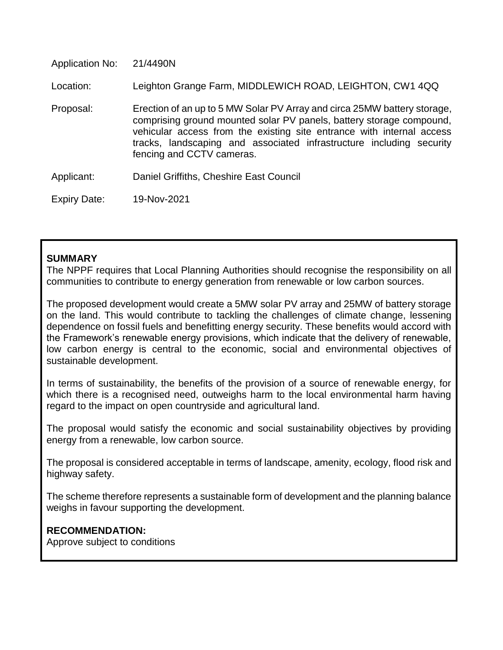| <b>Application No:</b> | 21/4490N                                                                                                                                                                                                                                                                                                                       |
|------------------------|--------------------------------------------------------------------------------------------------------------------------------------------------------------------------------------------------------------------------------------------------------------------------------------------------------------------------------|
| Location:              | Leighton Grange Farm, MIDDLEWICH ROAD, LEIGHTON, CW1 4QQ                                                                                                                                                                                                                                                                       |
| Proposal:              | Erection of an up to 5 MW Solar PV Array and circa 25MW battery storage,<br>comprising ground mounted solar PV panels, battery storage compound,<br>vehicular access from the existing site entrance with internal access<br>tracks, landscaping and associated infrastructure including security<br>fencing and CCTV cameras. |
| Applicant:             | Daniel Griffiths, Cheshire East Council                                                                                                                                                                                                                                                                                        |
| Expiry Date:           | 19-Nov-2021                                                                                                                                                                                                                                                                                                                    |

#### **SUMMARY**

The NPPF requires that Local Planning Authorities should recognise the responsibility on all communities to contribute to energy generation from renewable or low carbon sources.

The proposed development would create a 5MW solar PV array and 25MW of battery storage on the land. This would contribute to tackling the challenges of climate change, lessening dependence on fossil fuels and benefitting energy security. These benefits would accord with the Framework's renewable energy provisions, which indicate that the delivery of renewable, low carbon energy is central to the economic, social and environmental objectives of sustainable development.

In terms of sustainability, the benefits of the provision of a source of renewable energy, for which there is a recognised need, outweighs harm to the local environmental harm having regard to the impact on open countryside and agricultural land.

The proposal would satisfy the economic and social sustainability objectives by providing energy from a renewable, low carbon source.

The proposal is considered acceptable in terms of landscape, amenity, ecology, flood risk and highway safety.

The scheme therefore represents a sustainable form of development and the planning balance weighs in favour supporting the development.

#### **RECOMMENDATION:**

Approve subject to conditions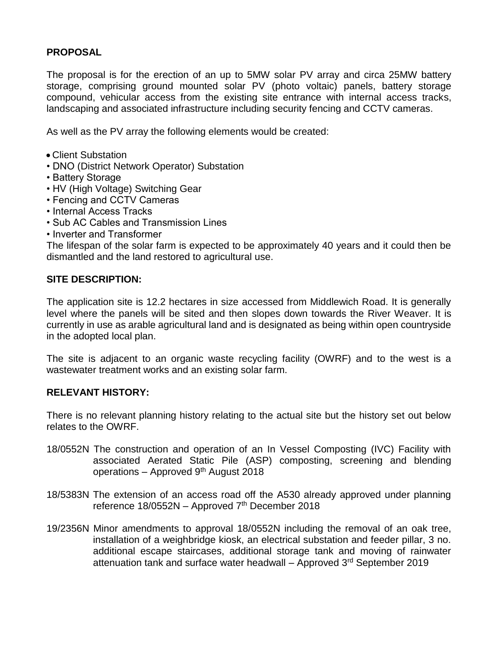### **PROPOSAL**

The proposal is for the erection of an up to 5MW solar PV array and circa 25MW battery storage, comprising ground mounted solar PV (photo voltaic) panels, battery storage compound, vehicular access from the existing site entrance with internal access tracks, landscaping and associated infrastructure including security fencing and CCTV cameras.

As well as the PV array the following elements would be created:

- Client Substation
- DNO (District Network Operator) Substation
- Battery Storage
- HV (High Voltage) Switching Gear
- Fencing and CCTV Cameras
- Internal Access Tracks
- Sub AC Cables and Transmission Lines
- Inverter and Transformer

The lifespan of the solar farm is expected to be approximately 40 years and it could then be dismantled and the land restored to agricultural use.

# **SITE DESCRIPTION:**

The application site is 12.2 hectares in size accessed from Middlewich Road. It is generally level where the panels will be sited and then slopes down towards the River Weaver. It is currently in use as arable agricultural land and is designated as being within open countryside in the adopted local plan.

The site is adjacent to an organic waste recycling facility (OWRF) and to the west is a wastewater treatment works and an existing solar farm.

### **RELEVANT HISTORY:**

There is no relevant planning history relating to the actual site but the history set out below relates to the OWRF.

- 18/0552N The construction and operation of an In Vessel Composting (IVC) Facility with associated Aerated Static Pile (ASP) composting, screening and blending operations – Approved  $9<sup>th</sup>$  August 2018
- 18/5383N The extension of an access road off the A530 already approved under planning reference  $18/0552N -$  Approved  $7<sup>th</sup>$  December 2018
- 19/2356N Minor amendments to approval 18/0552N including the removal of an oak tree, installation of a weighbridge kiosk, an electrical substation and feeder pillar, 3 no. additional escape staircases, additional storage tank and moving of rainwater attenuation tank and surface water headwall – Approved 3rd September 2019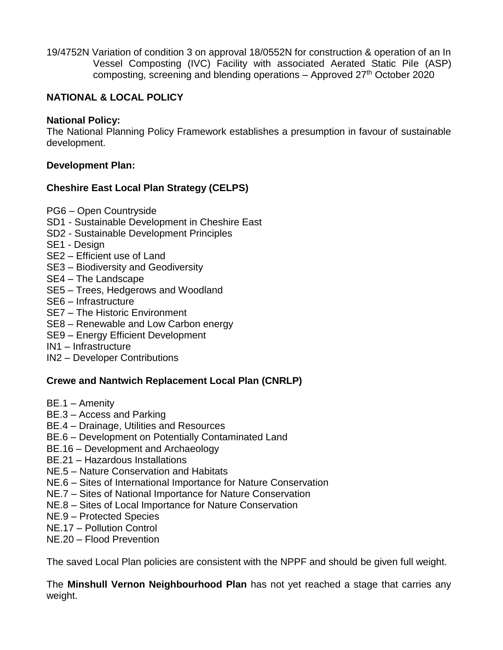19/4752N Variation of condition 3 on approval 18/0552N for construction & operation of an In Vessel Composting (IVC) Facility with associated Aerated Static Pile (ASP) composting, screening and blending operations  $-$  Approved 27<sup>th</sup> October 2020

# **NATIONAL & LOCAL POLICY**

# **National Policy:**

The National Planning Policy Framework establishes a presumption in favour of sustainable development.

# **Development Plan:**

# **Cheshire East Local Plan Strategy (CELPS)**

- PG6 Open Countryside
- SD1 Sustainable Development in Cheshire East
- SD2 Sustainable Development Principles
- SE1 Design
- SE2 Efficient use of Land
- SE3 Biodiversity and Geodiversity
- SE4 The Landscape
- SE5 Trees, Hedgerows and Woodland
- SE6 Infrastructure
- SE7 The Historic Environment
- SE8 Renewable and Low Carbon energy
- SE9 Energy Efficient Development
- IN1 Infrastructure
- IN2 Developer Contributions

# **Crewe and Nantwich Replacement Local Plan (CNRLP)**

- BE.1 Amenity
- BE.3 Access and Parking
- BE.4 Drainage, Utilities and Resources
- BE.6 Development on Potentially Contaminated Land
- BE.16 Development and Archaeology
- BE.21 Hazardous Installations
- NE.5 Nature Conservation and Habitats
- NE.6 Sites of International Importance for Nature Conservation
- NE.7 Sites of National Importance for Nature Conservation
- NE.8 Sites of Local Importance for Nature Conservation
- NE.9 Protected Species
- NE.17 Pollution Control
- NE.20 Flood Prevention

The saved Local Plan policies are consistent with the NPPF and should be given full weight.

The **Minshull Vernon Neighbourhood Plan** has not yet reached a stage that carries any weight.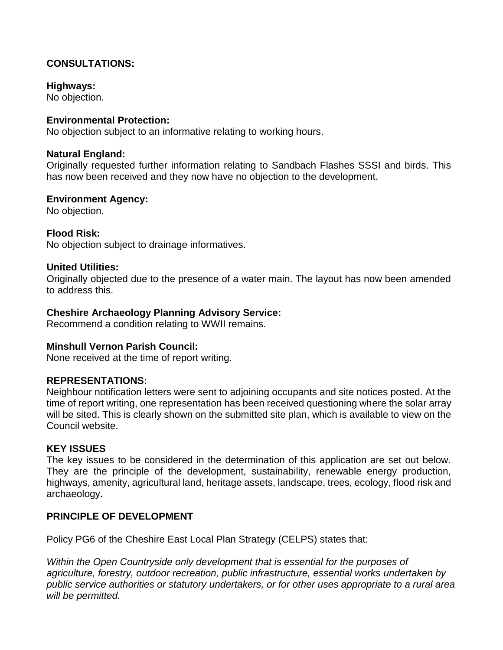# **CONSULTATIONS:**

#### **Highways:**

No objection.

#### **Environmental Protection:**

No objection subject to an informative relating to working hours.

#### **Natural England:**

Originally requested further information relating to Sandbach Flashes SSSI and birds. This has now been received and they now have no objection to the development.

#### **Environment Agency:**

No objection.

### **Flood Risk:**

No objection subject to drainage informatives.

#### **United Utilities:**

Originally objected due to the presence of a water main. The layout has now been amended to address this.

### **Cheshire Archaeology Planning Advisory Service:**

Recommend a condition relating to WWII remains.

#### **Minshull Vernon Parish Council:**

None received at the time of report writing.

#### **REPRESENTATIONS:**

Neighbour notification letters were sent to adjoining occupants and site notices posted. At the time of report writing, one representation has been received questioning where the solar array will be sited. This is clearly shown on the submitted site plan, which is available to view on the Council website.

# **KEY ISSUES**

The key issues to be considered in the determination of this application are set out below. They are the principle of the development, sustainability, renewable energy production, highways, amenity, agricultural land, heritage assets, landscape, trees, ecology, flood risk and archaeology.

### **PRINCIPLE OF DEVELOPMENT**

Policy PG6 of the Cheshire East Local Plan Strategy (CELPS) states that:

*Within the Open Countryside only development that is essential for the purposes of agriculture, forestry, outdoor recreation, public infrastructure, essential works undertaken by public service authorities or statutory undertakers, or for other uses appropriate to a rural area will be permitted.*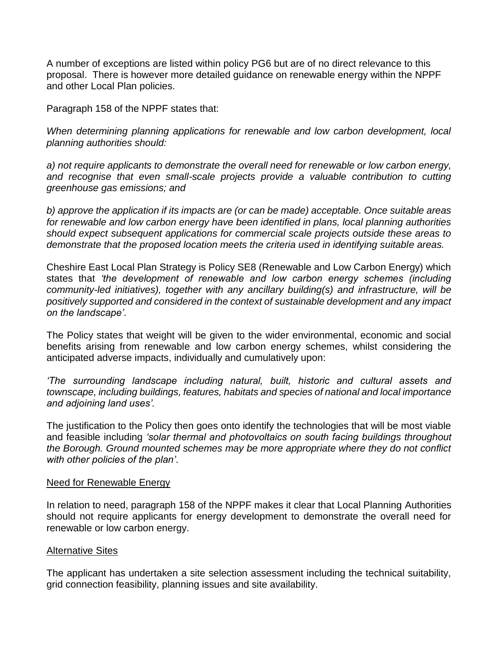A number of exceptions are listed within policy PG6 but are of no direct relevance to this proposal. There is however more detailed guidance on renewable energy within the NPPF and other Local Plan policies.

Paragraph 158 of the NPPF states that:

*When determining planning applications for renewable and low carbon development, local planning authorities should:*

*a) not require applicants to demonstrate the overall need for renewable or low carbon energy, and recognise that even small-scale projects provide a valuable contribution to cutting greenhouse gas emissions; and*

*b) approve the application if its impacts are (or can be made) acceptable. Once suitable areas for renewable and low carbon energy have been identified in plans, local planning authorities should expect subsequent applications for commercial scale projects outside these areas to demonstrate that the proposed location meets the criteria used in identifying suitable areas.*

Cheshire East Local Plan Strategy is Policy SE8 (Renewable and Low Carbon Energy) which states that *'the development of renewable and low carbon energy schemes (including community-led initiatives), together with any ancillary building(s) and infrastructure, will be positively supported and considered in the context of sustainable development and any impact on the landscape'*.

The Policy states that weight will be given to the wider environmental, economic and social benefits arising from renewable and low carbon energy schemes, whilst considering the anticipated adverse impacts, individually and cumulatively upon:

*'The surrounding landscape including natural, built, historic and cultural assets and townscape, including buildings, features, habitats and species of national and local importance and adjoining land uses'.*

The justification to the Policy then goes onto identify the technologies that will be most viable and feasible including *'solar thermal and photovoltaics on south facing buildings throughout the Borough. Ground mounted schemes may be more appropriate where they do not conflict with other policies of the plan'*.

#### Need for Renewable Energy

In relation to need, paragraph 158 of the NPPF makes it clear that Local Planning Authorities should not require applicants for energy development to demonstrate the overall need for renewable or low carbon energy.

### **Alternative Sites**

The applicant has undertaken a site selection assessment including the technical suitability, grid connection feasibility, planning issues and site availability.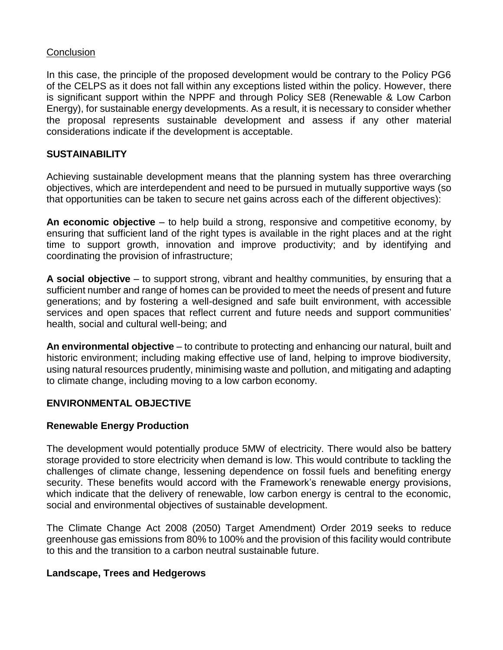### **Conclusion**

In this case, the principle of the proposed development would be contrary to the Policy PG6 of the CELPS as it does not fall within any exceptions listed within the policy. However, there is significant support within the NPPF and through Policy SE8 (Renewable & Low Carbon Energy), for sustainable energy developments. As a result, it is necessary to consider whether the proposal represents sustainable development and assess if any other material considerations indicate if the development is acceptable.

### **SUSTAINABILITY**

Achieving sustainable development means that the planning system has three overarching objectives, which are interdependent and need to be pursued in mutually supportive ways (so that opportunities can be taken to secure net gains across each of the different objectives):

**An economic objective** – to help build a strong, responsive and competitive economy, by ensuring that sufficient land of the right types is available in the right places and at the right time to support growth, innovation and improve productivity; and by identifying and coordinating the provision of infrastructure;

**A social objective** – to support strong, vibrant and healthy communities, by ensuring that a sufficient number and range of homes can be provided to meet the needs of present and future generations; and by fostering a well-designed and safe built environment, with accessible services and open spaces that reflect current and future needs and support communities' health, social and cultural well-being; and

**An environmental objective** – to contribute to protecting and enhancing our natural, built and historic environment; including making effective use of land, helping to improve biodiversity, using natural resources prudently, minimising waste and pollution, and mitigating and adapting to climate change, including moving to a low carbon economy.

# **ENVIRONMENTAL OBJECTIVE**

### **Renewable Energy Production**

The development would potentially produce 5MW of electricity. There would also be battery storage provided to store electricity when demand is low. This would contribute to tackling the challenges of climate change, lessening dependence on fossil fuels and benefiting energy security. These benefits would accord with the Framework's renewable energy provisions, which indicate that the delivery of renewable, low carbon energy is central to the economic, social and environmental objectives of sustainable development.

The Climate Change Act 2008 (2050) Target Amendment) Order 2019 seeks to reduce greenhouse gas emissions from 80% to 100% and the provision of this facility would contribute to this and the transition to a carbon neutral sustainable future.

### **Landscape, Trees and Hedgerows**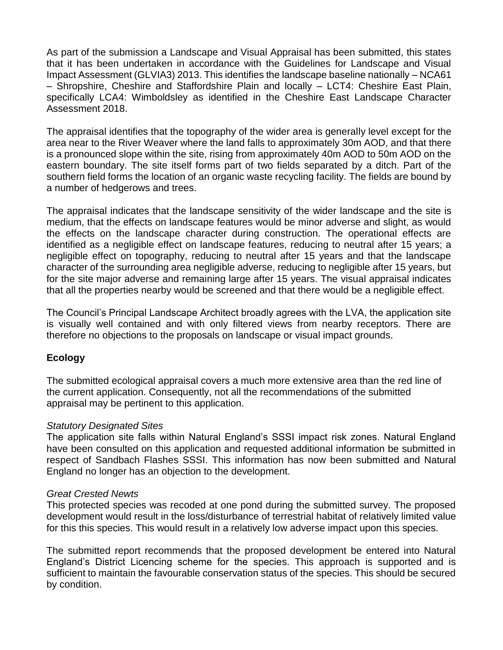As part of the submission a Landscape and Visual Appraisal has been submitted, this states that it has been undertaken in accordance with the Guidelines for Landscape and Visual Impact Assessment (GLVIA3) 2013. This identifies the landscape baseline nationally – NCA61 – Shropshire, Cheshire and Staffordshire Plain and locally – LCT4: Cheshire East Plain, specifically LCA4: Wimboldsley as identified in the Cheshire East Landscape Character Assessment 2018.

The appraisal identifies that the topography of the wider area is generally level except for the area near to the River Weaver where the land falls to approximately 30m AOD, and that there is a pronounced slope within the site, rising from approximately 40m AOD to 50m AOD on the eastern boundary. The site itself forms part of two fields separated by a ditch. Part of the southern field forms the location of an organic waste recycling facility. The fields are bound by a number of hedgerows and trees.

The appraisal indicates that the landscape sensitivity of the wider landscape and the site is medium, that the effects on landscape features would be minor adverse and slight, as would the effects on the landscape character during construction. The operational effects are identified as a negligible effect on landscape features, reducing to neutral after 15 years; a negligible effect on topography, reducing to neutral after 15 years and that the landscape character of the surrounding area negligible adverse, reducing to negligible after 15 years, but for the site major adverse and remaining large after 15 years. The visual appraisal indicates that all the properties nearby would be screened and that there would be a negligible effect.

The Council's Principal Landscape Architect broadly agrees with the LVA, the application site is visually well contained and with only filtered views from nearby receptors. There are therefore no objections to the proposals on landscape or visual impact grounds.

### **Ecology**

The submitted ecological appraisal covers a much more extensive area than the red line of the current application. Consequently, not all the recommendations of the submitted appraisal may be pertinent to this application.

### *Statutory Designated Sites*

The application site falls within Natural England's SSSI impact risk zones. Natural England have been consulted on this application and requested additional information be submitted in respect of Sandbach Flashes SSSI. This information has now been submitted and Natural England no longer has an objection to the development.

#### *Great Crested Newts*

This protected species was recoded at one pond during the submitted survey. The proposed development would result in the loss/disturbance of terrestrial habitat of relatively limited value for this this species. This would result in a relatively low adverse impact upon this species.

The submitted report recommends that the proposed development be entered into Natural England's District Licencing scheme for the species. This approach is supported and is sufficient to maintain the favourable conservation status of the species. This should be secured by condition.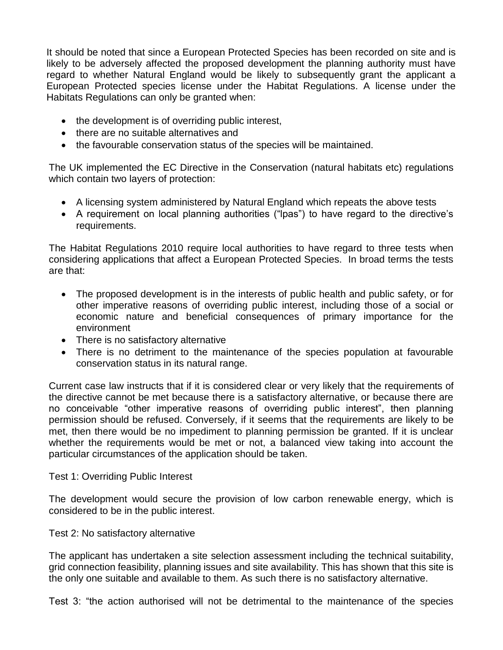It should be noted that since a European Protected Species has been recorded on site and is likely to be adversely affected the proposed development the planning authority must have regard to whether Natural England would be likely to subsequently grant the applicant a European Protected species license under the Habitat Regulations. A license under the Habitats Regulations can only be granted when:

- the development is of overriding public interest,
- there are no suitable alternatives and
- the favourable conservation status of the species will be maintained.

The UK implemented the EC Directive in the Conservation (natural habitats etc) regulations which contain two layers of protection:

- A licensing system administered by Natural England which repeats the above tests
- A requirement on local planning authorities ("lpas") to have regard to the directive's requirements.

The Habitat Regulations 2010 require local authorities to have regard to three tests when considering applications that affect a European Protected Species. In broad terms the tests are that:

- The proposed development is in the interests of public health and public safety, or for other imperative reasons of overriding public interest, including those of a social or economic nature and beneficial consequences of primary importance for the environment
- There is no satisfactory alternative
- There is no detriment to the maintenance of the species population at favourable conservation status in its natural range.

Current case law instructs that if it is considered clear or very likely that the requirements of the directive cannot be met because there is a satisfactory alternative, or because there are no conceivable "other imperative reasons of overriding public interest", then planning permission should be refused. Conversely, if it seems that the requirements are likely to be met, then there would be no impediment to planning permission be granted. If it is unclear whether the requirements would be met or not, a balanced view taking into account the particular circumstances of the application should be taken.

### Test 1: Overriding Public Interest

The development would secure the provision of low carbon renewable energy, which is considered to be in the public interest.

### Test 2: No satisfactory alternative

The applicant has undertaken a site selection assessment including the technical suitability, grid connection feasibility, planning issues and site availability. This has shown that this site is the only one suitable and available to them. As such there is no satisfactory alternative.

Test 3: "the action authorised will not be detrimental to the maintenance of the species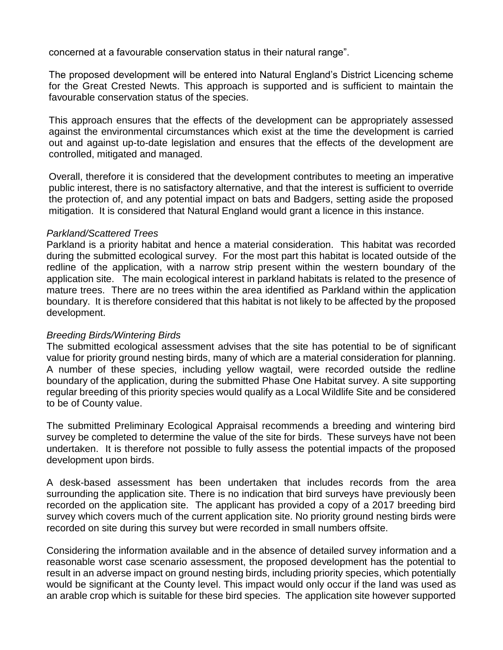concerned at a favourable conservation status in their natural range".

The proposed development will be entered into Natural England's District Licencing scheme for the Great Crested Newts. This approach is supported and is sufficient to maintain the favourable conservation status of the species.

This approach ensures that the effects of the development can be appropriately assessed against the environmental circumstances which exist at the time the development is carried out and against up-to-date legislation and ensures that the effects of the development are controlled, mitigated and managed.

Overall, therefore it is considered that the development contributes to meeting an imperative public interest, there is no satisfactory alternative, and that the interest is sufficient to override the protection of, and any potential impact on bats and Badgers, setting aside the proposed mitigation. It is considered that Natural England would grant a licence in this instance.

#### *Parkland/Scattered Trees*

Parkland is a priority habitat and hence a material consideration. This habitat was recorded during the submitted ecological survey. For the most part this habitat is located outside of the redline of the application, with a narrow strip present within the western boundary of the application site. The main ecological interest in parkland habitats is related to the presence of mature trees. There are no trees within the area identified as Parkland within the application boundary. It is therefore considered that this habitat is not likely to be affected by the proposed development.

### *Breeding Birds/Wintering Birds*

The submitted ecological assessment advises that the site has potential to be of significant value for priority ground nesting birds, many of which are a material consideration for planning. A number of these species, including yellow wagtail, were recorded outside the redline boundary of the application, during the submitted Phase One Habitat survey. A site supporting regular breeding of this priority species would qualify as a Local Wildlife Site and be considered to be of County value.

The submitted Preliminary Ecological Appraisal recommends a breeding and wintering bird survey be completed to determine the value of the site for birds. These surveys have not been undertaken. It is therefore not possible to fully assess the potential impacts of the proposed development upon birds.

A desk-based assessment has been undertaken that includes records from the area surrounding the application site. There is no indication that bird surveys have previously been recorded on the application site. The applicant has provided a copy of a 2017 breeding bird survey which covers much of the current application site. No priority ground nesting birds were recorded on site during this survey but were recorded in small numbers offsite.

Considering the information available and in the absence of detailed survey information and a reasonable worst case scenario assessment, the proposed development has the potential to result in an adverse impact on ground nesting birds, including priority species, which potentially would be significant at the County level. This impact would only occur if the land was used as an arable crop which is suitable for these bird species. The application site however supported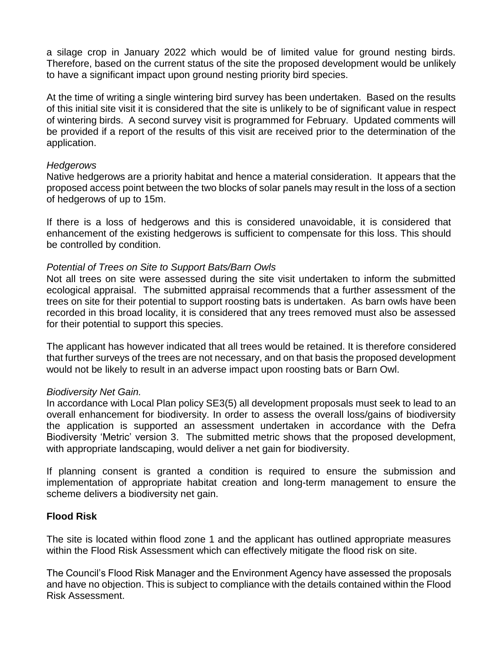a silage crop in January 2022 which would be of limited value for ground nesting birds. Therefore, based on the current status of the site the proposed development would be unlikely to have a significant impact upon ground nesting priority bird species.

At the time of writing a single wintering bird survey has been undertaken. Based on the results of this initial site visit it is considered that the site is unlikely to be of significant value in respect of wintering birds. A second survey visit is programmed for February. Updated comments will be provided if a report of the results of this visit are received prior to the determination of the application.

#### *Hedgerows*

Native hedgerows are a priority habitat and hence a material consideration. It appears that the proposed access point between the two blocks of solar panels may result in the loss of a section of hedgerows of up to 15m.

If there is a loss of hedgerows and this is considered unavoidable, it is considered that enhancement of the existing hedgerows is sufficient to compensate for this loss. This should be controlled by condition.

#### *Potential of Trees on Site to Support Bats/Barn Owls*

Not all trees on site were assessed during the site visit undertaken to inform the submitted ecological appraisal. The submitted appraisal recommends that a further assessment of the trees on site for their potential to support roosting bats is undertaken. As barn owls have been recorded in this broad locality, it is considered that any trees removed must also be assessed for their potential to support this species.

The applicant has however indicated that all trees would be retained. It is therefore considered that further surveys of the trees are not necessary, and on that basis the proposed development would not be likely to result in an adverse impact upon roosting bats or Barn Owl.

### *Biodiversity Net Gain.*

In accordance with Local Plan policy SE3(5) all development proposals must seek to lead to an overall enhancement for biodiversity. In order to assess the overall loss/gains of biodiversity the application is supported an assessment undertaken in accordance with the Defra Biodiversity 'Metric' version 3. The submitted metric shows that the proposed development, with appropriate landscaping, would deliver a net gain for biodiversity.

If planning consent is granted a condition is required to ensure the submission and implementation of appropriate habitat creation and long-term management to ensure the scheme delivers a biodiversity net gain.

### **Flood Risk**

The site is located within flood zone 1 and the applicant has outlined appropriate measures within the Flood Risk Assessment which can effectively mitigate the flood risk on site.

The Council's Flood Risk Manager and the Environment Agency have assessed the proposals and have no objection. This is subject to compliance with the details contained within the Flood Risk Assessment.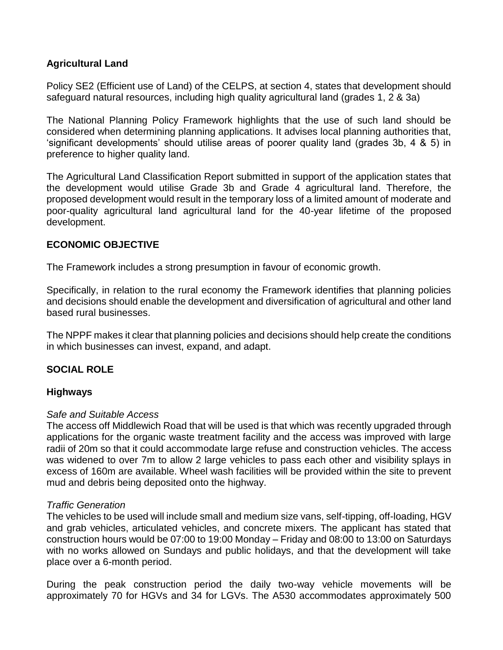# **Agricultural Land**

Policy SE2 (Efficient use of Land) of the CELPS, at section 4, states that development should safeguard natural resources, including high quality agricultural land (grades 1, 2 & 3a)

The National Planning Policy Framework highlights that the use of such land should be considered when determining planning applications. It advises local planning authorities that, 'significant developments' should utilise areas of poorer quality land (grades 3b, 4 & 5) in preference to higher quality land.

The Agricultural Land Classification Report submitted in support of the application states that the development would utilise Grade 3b and Grade 4 agricultural land. Therefore, the proposed development would result in the temporary loss of a limited amount of moderate and poor-quality agricultural land agricultural land for the 40-year lifetime of the proposed development.

# **ECONOMIC OBJECTIVE**

The Framework includes a strong presumption in favour of economic growth.

Specifically, in relation to the rural economy the Framework identifies that planning policies and decisions should enable the development and diversification of agricultural and other land based rural businesses.

The NPPF makes it clear that planning policies and decisions should help create the conditions in which businesses can invest, expand, and adapt.

# **SOCIAL ROLE**

### **Highways**

### *Safe and Suitable Access*

The access off Middlewich Road that will be used is that which was recently upgraded through applications for the organic waste treatment facility and the access was improved with large radii of 20m so that it could accommodate large refuse and construction vehicles. The access was widened to over 7m to allow 2 large vehicles to pass each other and visibility splays in excess of 160m are available. Wheel wash facilities will be provided within the site to prevent mud and debris being deposited onto the highway.

### *Traffic Generation*

The vehicles to be used will include small and medium size vans, self-tipping, off-loading, HGV and grab vehicles, articulated vehicles, and concrete mixers. The applicant has stated that construction hours would be 07:00 to 19:00 Monday – Friday and 08:00 to 13:00 on Saturdays with no works allowed on Sundays and public holidays, and that the development will take place over a 6-month period.

During the peak construction period the daily two-way vehicle movements will be approximately 70 for HGVs and 34 for LGVs. The A530 accommodates approximately 500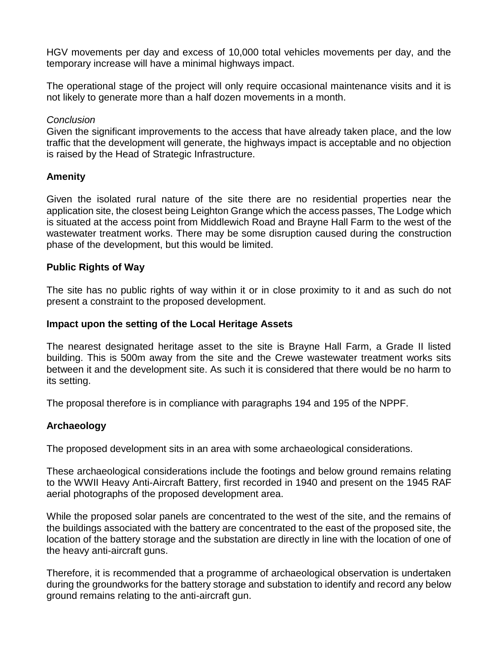HGV movements per day and excess of 10,000 total vehicles movements per day, and the temporary increase will have a minimal highways impact.

The operational stage of the project will only require occasional maintenance visits and it is not likely to generate more than a half dozen movements in a month.

### *Conclusion*

Given the significant improvements to the access that have already taken place, and the low traffic that the development will generate, the highways impact is acceptable and no objection is raised by the Head of Strategic Infrastructure.

# **Amenity**

Given the isolated rural nature of the site there are no residential properties near the application site, the closest being Leighton Grange which the access passes, The Lodge which is situated at the access point from Middlewich Road and Brayne Hall Farm to the west of the wastewater treatment works. There may be some disruption caused during the construction phase of the development, but this would be limited.

# **Public Rights of Way**

The site has no public rights of way within it or in close proximity to it and as such do not present a constraint to the proposed development.

### **Impact upon the setting of the Local Heritage Assets**

The nearest designated heritage asset to the site is Brayne Hall Farm, a Grade II listed building. This is 500m away from the site and the Crewe wastewater treatment works sits between it and the development site. As such it is considered that there would be no harm to its setting.

The proposal therefore is in compliance with paragraphs 194 and 195 of the NPPF.

# **Archaeology**

The proposed development sits in an area with some archaeological considerations.

These archaeological considerations include the footings and below ground remains relating to the WWII Heavy Anti-Aircraft Battery, first recorded in 1940 and present on the 1945 RAF aerial photographs of the proposed development area.

While the proposed solar panels are concentrated to the west of the site, and the remains of the buildings associated with the battery are concentrated to the east of the proposed site, the location of the battery storage and the substation are directly in line with the location of one of the heavy anti-aircraft guns.

Therefore, it is recommended that a programme of archaeological observation is undertaken during the groundworks for the battery storage and substation to identify and record any below ground remains relating to the anti-aircraft gun.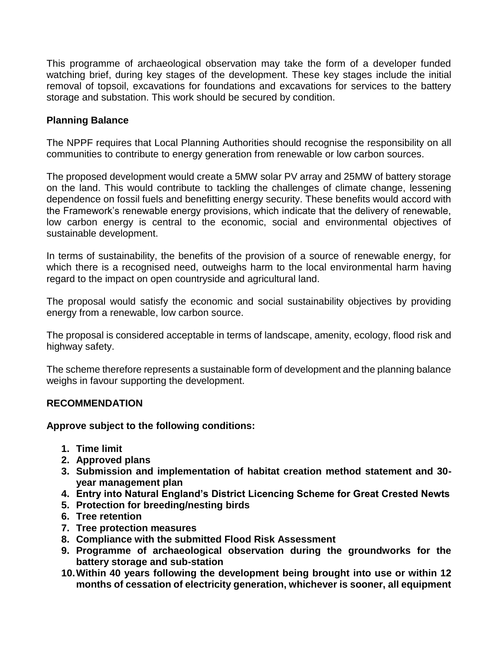This programme of archaeological observation may take the form of a developer funded watching brief, during key stages of the development. These key stages include the initial removal of topsoil, excavations for foundations and excavations for services to the battery storage and substation. This work should be secured by condition.

# **Planning Balance**

The NPPF requires that Local Planning Authorities should recognise the responsibility on all communities to contribute to energy generation from renewable or low carbon sources.

The proposed development would create a 5MW solar PV array and 25MW of battery storage on the land. This would contribute to tackling the challenges of climate change, lessening dependence on fossil fuels and benefitting energy security. These benefits would accord with the Framework's renewable energy provisions, which indicate that the delivery of renewable, low carbon energy is central to the economic, social and environmental objectives of sustainable development.

In terms of sustainability, the benefits of the provision of a source of renewable energy, for which there is a recognised need, outweighs harm to the local environmental harm having regard to the impact on open countryside and agricultural land.

The proposal would satisfy the economic and social sustainability objectives by providing energy from a renewable, low carbon source.

The proposal is considered acceptable in terms of landscape, amenity, ecology, flood risk and highway safety.

The scheme therefore represents a sustainable form of development and the planning balance weighs in favour supporting the development.

### **RECOMMENDATION**

### **Approve subject to the following conditions:**

- **1. Time limit**
- **2. Approved plans**
- **3. Submission and implementation of habitat creation method statement and 30 year management plan**
- **4. Entry into Natural England's District Licencing Scheme for Great Crested Newts**
- **5. Protection for breeding/nesting birds**
- **6. Tree retention**
- **7. Tree protection measures**
- **8. Compliance with the submitted Flood Risk Assessment**
- **9. Programme of archaeological observation during the groundworks for the battery storage and sub-station**
- **10.Within 40 years following the development being brought into use or within 12 months of cessation of electricity generation, whichever is sooner, all equipment**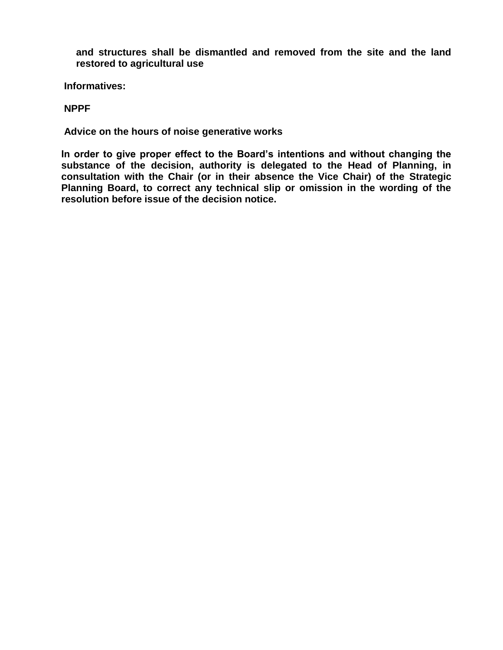**and structures shall be dismantled and removed from the site and the land restored to agricultural use**

**Informatives:**

#### **NPPF**

**Advice on the hours of noise generative works**

**In order to give proper effect to the Board's intentions and without changing the substance of the decision, authority is delegated to the Head of Planning, in consultation with the Chair (or in their absence the Vice Chair) of the Strategic Planning Board, to correct any technical slip or omission in the wording of the resolution before issue of the decision notice.**